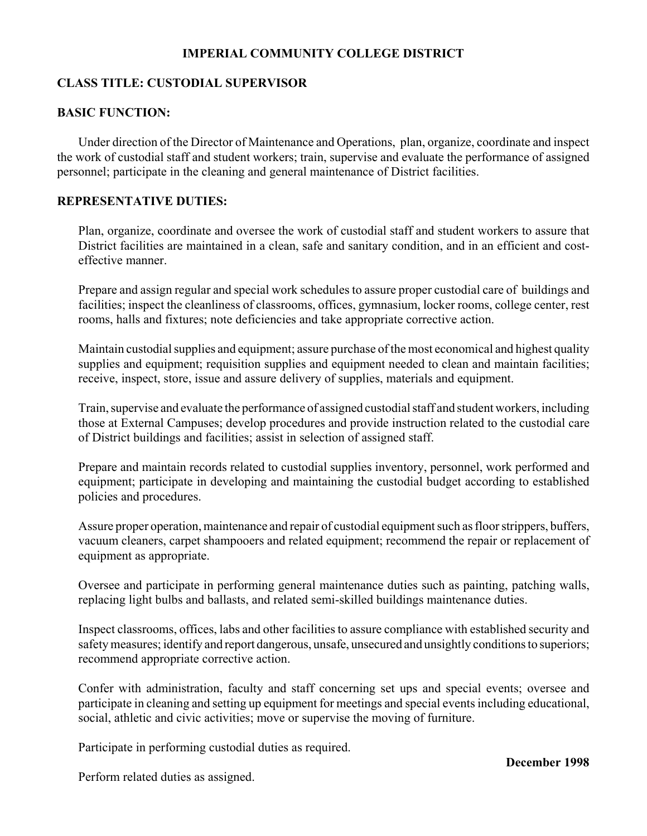## **IMPERIAL COMMUNITY COLLEGE DISTRICT**

### **CLASS TITLE: CUSTODIAL SUPERVISOR**

## **BASIC FUNCTION:**

Under direction of the Director of Maintenance and Operations, plan, organize, coordinate and inspect the work of custodial staff and student workers; train, supervise and evaluate the performance of assigned personnel; participate in the cleaning and general maintenance of District facilities.

#### **REPRESENTATIVE DUTIES:**

Plan, organize, coordinate and oversee the work of custodial staff and student workers to assure that District facilities are maintained in a clean, safe and sanitary condition, and in an efficient and costeffective manner.

Prepare and assign regular and special work schedules to assure proper custodial care of buildings and facilities; inspect the cleanliness of classrooms, offices, gymnasium, locker rooms, college center, rest rooms, halls and fixtures; note deficiencies and take appropriate corrective action.

Maintain custodial supplies and equipment; assure purchase of the most economical and highest quality supplies and equipment; requisition supplies and equipment needed to clean and maintain facilities; receive, inspect, store, issue and assure delivery of supplies, materials and equipment.

Train, supervise and evaluate the performance of assigned custodial staff and student workers, including those at External Campuses; develop procedures and provide instruction related to the custodial care of District buildings and facilities; assist in selection of assigned staff.

Prepare and maintain records related to custodial supplies inventory, personnel, work performed and equipment; participate in developing and maintaining the custodial budget according to established policies and procedures.

Assure proper operation, maintenance and repair of custodial equipment such as floor strippers, buffers, vacuum cleaners, carpet shampooers and related equipment; recommend the repair or replacement of equipment as appropriate.

Oversee and participate in performing general maintenance duties such as painting, patching walls, replacing light bulbs and ballasts, and related semi-skilled buildings maintenance duties.

Inspect classrooms, offices, labs and other facilities to assure compliance with established security and safety measures; identify and report dangerous, unsafe, unsecured and unsightly conditions to superiors; recommend appropriate corrective action.

Confer with administration, faculty and staff concerning set ups and special events; oversee and participate in cleaning and setting up equipment for meetings and special events including educational, social, athletic and civic activities; move or supervise the moving of furniture.

Participate in performing custodial duties as required.

**December 1998**

Perform related duties as assigned.